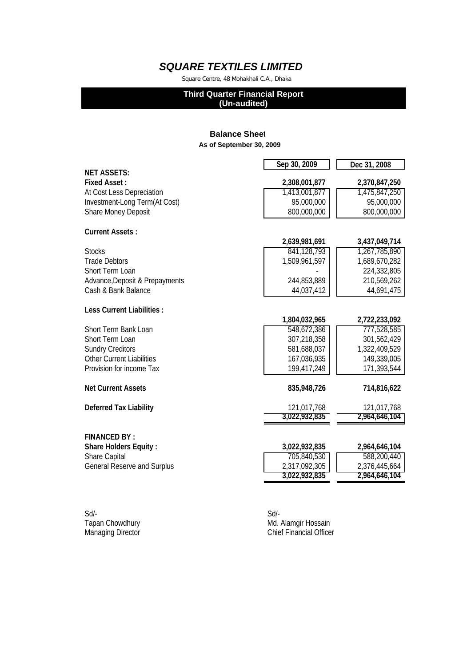Square Centre, 48 Mohakhali C.A., Dhaka

#### **Third Quarter Financial Report**

**(Un-audited)**

### **Balance Sheet As of September 30, 2009**

|                                    | Sep 30, 2009  | Dec 31, 2008  |
|------------------------------------|---------------|---------------|
| <b>NET ASSETS:</b>                 |               |               |
| <b>Fixed Asset:</b>                | 2,308,001,877 | 2,370,847,250 |
| At Cost Less Depreciation          | 1,413,001,877 | 1,475,847,250 |
| Investment-Long Term(At Cost)      | 95,000,000    | 95,000,000    |
| <b>Share Money Deposit</b>         | 800,000,000   | 800,000,000   |
| <b>Current Assets:</b>             |               |               |
|                                    | 2,639,981,691 | 3,437,049,714 |
| <b>Stocks</b>                      | 841,128,793   | 1,267,785,890 |
| <b>Trade Debtors</b>               | 1,509,961,597 | 1,689,670,282 |
| Short Term Loan                    |               | 224,332,805   |
| Advance, Deposit & Prepayments     | 244,853,889   | 210,569,262   |
| Cash & Bank Balance                | 44,037,412    | 44,691,475    |
| <b>Less Current Liabilities:</b>   |               |               |
|                                    | 1,804,032,965 | 2,722,233,092 |
| Short Term Bank Loan               | 548,672,386   | 777,528,585   |
| Short Term Loan                    | 307,218,358   | 301,562,429   |
| <b>Sundry Creditors</b>            | 581,688,037   | 1,322,409,529 |
| <b>Other Current Liabilities</b>   | 167,036,935   | 149,339,005   |
| Provision for income Tax           | 199,417,249   | 171,393,544   |
| <b>Net Current Assets</b>          | 835,948,726   | 714,816,622   |
| <b>Deferred Tax Liability</b>      | 121,017,768   | 121,017,768   |
|                                    | 3,022,932,835 | 2,964,646,104 |
| <b>FINANCED BY:</b>                |               |               |
| <b>Share Holders Equity:</b>       | 3,022,932,835 | 2,964,646,104 |
| <b>Share Capital</b>               | 705,840,530   | 588,200,440   |
| <b>General Reserve and Surplus</b> | 2,317,092,305 | 2,376,445,664 |
|                                    | 3,022,932,835 | 2,964,646,104 |
|                                    |               |               |

| Sd                | Sd/- |
|-------------------|------|
| Tapan Chowdhury   | Md.  |
| Managing Director | Chie |

Md. Alamgir Hossain and Director Chief Financial Officer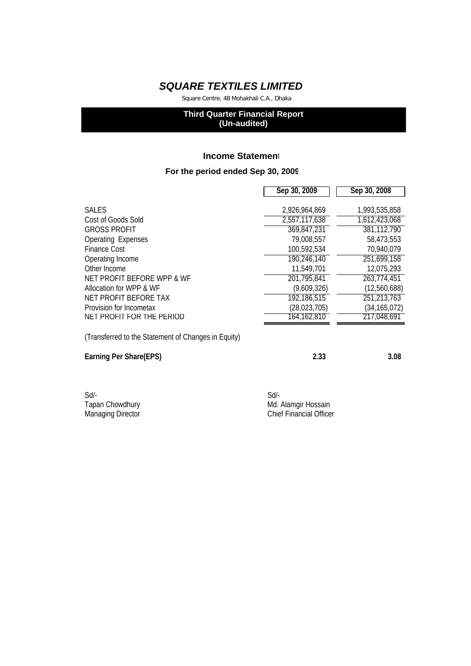Square Centre, 48 Mohakhali C.A., Dhaka

## **Third Quarter Financial Report (Un-audited)**

### **Income Statement**

### **For the period ended Sep 30, 2009**

|                                                     | Sep 30, 2009   | Sep 30, 2008   |
|-----------------------------------------------------|----------------|----------------|
|                                                     |                |                |
| <b>SALES</b>                                        | 2,926,964,869  | 1,993,535,858  |
| Cost of Goods Sold                                  | 2,557,117,638  | 1,612,423,068  |
| <b>GROSS PROFIT</b>                                 | 369,847,231    | 381,112,790    |
| <b>Operating Expenses</b>                           | 79,008,557     | 58,473,553     |
| <b>Finance Cost</b>                                 | 100,592,534    | 70,940,079     |
| Operating Income                                    | 190,246,140    | 251,699,158    |
| Other Income                                        | 11,549,701     | 12,075,293     |
| NET PROFIT BEFORE WPP & WF                          | 201,795,841    | 263,774,451    |
| Allocation for WPP & WF                             | (9,609,326)    | (12,560,688)   |
| NET PROFIT BEFORE TAX                               | 192,186,515    | 251,213,763    |
| Provision for Incometax                             | (28, 023, 705) | (34, 165, 072) |
| NET PROFIT FOR THE PERIOD                           | 164,162,810    | 217,048,691    |
| (Transferred to the Statement of Changes in Equity) |                |                |
| Earning Per Share(EPS)                              | 2.33           | 3.08           |
|                                                     |                |                |

| Sd/-                     | Sd/- |
|--------------------------|------|
| Tapan Chowdhury          | Md.  |
| <b>Managing Director</b> | Chie |

Md. Alamgir Hossain aging Director **Chief Financial Officer**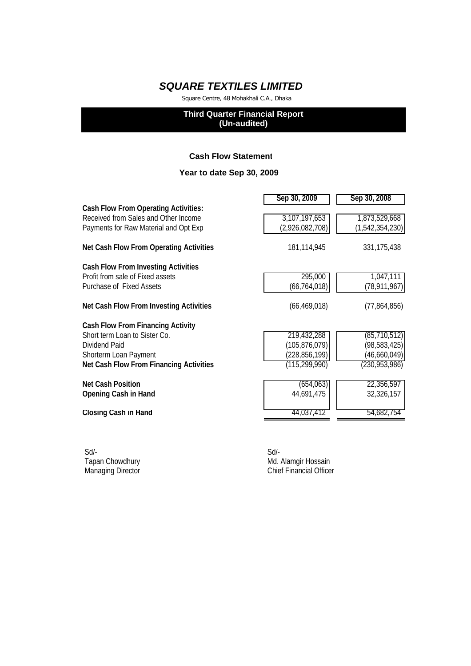Square Centre, 48 Mohakhali C.A., Dhaka

### **Third Quarter Financial Report (Un-audited)**

### **Cash Flow Statement**

## **Year to date Sep 30, 2009**

|                                             | Sep 30, 2009    | Sep 30, 2008       |
|---------------------------------------------|-----------------|--------------------|
| <b>Cash Flow From Operating Activities:</b> |                 |                    |
| Received from Sales and Other Income        | 3,107,197,653   | 1,873,529,668      |
| Payments for Raw Material and Opt Exp       | (2,926,082,708) | (1, 542, 354, 230) |
| Net Cash Flow From Operating Activities     | 181,114,945     | 331, 175, 438      |
| <b>Cash Flow From Investing Activities</b>  |                 |                    |
| Profit from sale of Fixed assets            | 295,000         | 1,047,111          |
| Purchase of Fixed Assets                    | (66, 764, 018)  | (78, 911, 967)     |
| Net Cash Flow From Investing Activities     | (66, 469, 018)  | (77,864,856)       |
| Cash Flow From Financing Activity           |                 |                    |
| Short term Loan to Sister Co.               | 219,432,288     | (85, 710, 512)     |
| Dividend Paid                               | (105, 876, 079) | (98, 583, 425)     |
| Shorterm Loan Payment                       | (228, 856, 199) | (46,660,049)       |
| Net Cash Flow From Financing Activities     | (115, 299, 990) | (230, 953, 986)    |
| <b>Net Cash Position</b>                    | (654, 063)      | 22,356,597         |
| <b>Opening Cash in Hand</b>                 | 44,691,475      | 32,326,157         |
| <b>Closing Cash in Hand</b>                 | 44,037,412      | 54,682,754         |
|                                             |                 |                    |

Sd/- Sd/-

Tapan Chowdhury **Mullangir Hossain** Md. Alamgir Hossain Managing Director **Chief Financial Officer** Chief Financial Officer